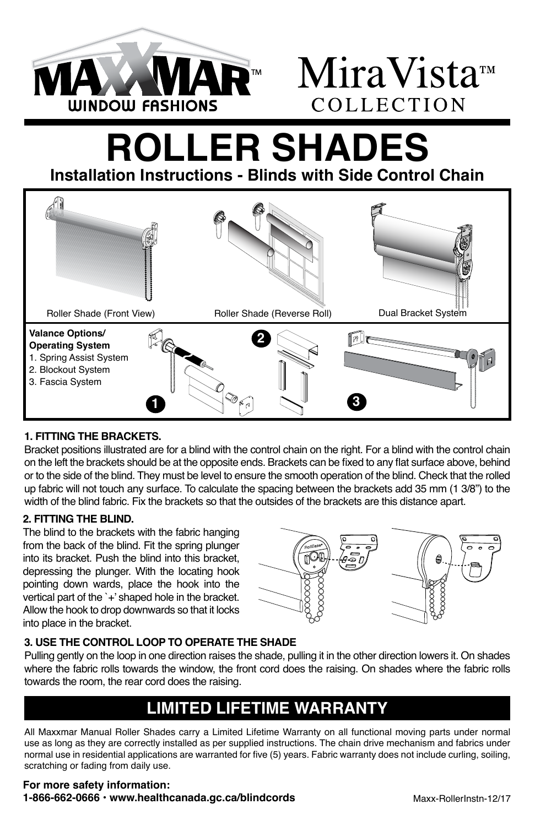

# **MAR**<sup>™</sup> MiraVista™ COLLECTION

## **ROLLER SHADES Installation Instructions - Blinds with Side Control Chain**

Roller Shade (Front View) Roller Shade (Reverse Roll) Dual Bracket System **Valance Options/** โค เ **2 Operating System**  1. Spring Assist System 2. Blockout System 3. Fascia System **1 3**

### **1. FITTING THE BRACKETS.**

Bracket positions illustrated are for a blind with the control chain on the right. For a blind with the control chain on the left the brackets should be at the opposite ends. Brackets can be fixed to any flat surface above, behind or to the side of the blind. They must be level to ensure the smooth operation of the blind. Check that the rolled up fabric will not touch any surface. To calculate the spacing between the brackets add 35 mm (1 3/8") to the width of the blind fabric. Fix the brackets so that the outsides of the brackets are this distance apart.

### **2. FITTING THE BLIND.**

The blind to the brackets with the fabric hanging from the back of the blind. Fit the spring plunger into its bracket. Push the blind into this bracket, depressing the plunger. With the locating hook pointing down wards, place the hook into the vertical part of the `+' shaped hole in the bracket. Allow the hook to drop downwards so that it locks into place in the bracket.



### **3. USE THE CONTROL LOOP TO OPERATE THE SHADE**

Pulling gently on the loop in one direction raises the shade, pulling it in the other direction lowers it. On shades where the fabric rolls towards the window, the front cord does the raising. On shades where the fabric rolls towards the room, the rear cord does the raising.

### **LIMITED LIFETIME WARRANTY**

All Maxxmar Manual Roller Shades carry a Limited Lifetime Warranty on all functional moving parts under normal use as long as they are correctly installed as per supplied instructions. The chain drive mechanism and fabrics under normal use in residential applications are warranted for five (5) years. Fabric warranty does not include curling, soiling, scratching or fading from daily use.

#### **For more safety information: 1-866-662-0666 • www.healthcanada.gc.ca/blindcords**